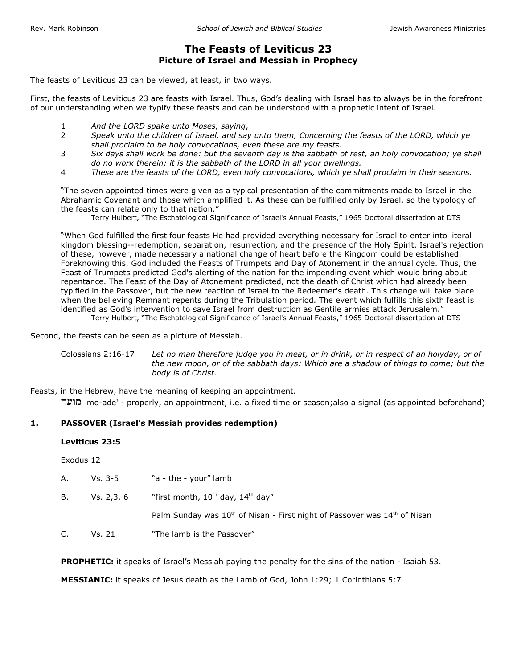# **The Feasts of Leviticus 23 Picture of Israel and Messiah in Prophecy**

The feasts of Leviticus 23 can be viewed, at least, in two ways.

First, the feasts of Leviticus 23 are feasts with Israel. Thus, God's dealing with Israel has to always be in the forefront of our understanding when we typify these feasts and can be understood with a prophetic intent of Israel.

- 1 *And the LORD spake unto Moses, saying*,
- 2 *Speak unto the children of Israel, and say unto them, Concerning the feasts of the LORD, which ye shall proclaim to be holy convocations, even these are my feasts.*
- 3 *Six days shall work be done: but the seventh day is the sabbath of rest, an holy convocation; ye shall do no work therein: it is the sabbath of the LORD in all your dwellings.*
- 4 *These are the feasts of the LORD, even holy convocations, which ye shall proclaim in their seasons.*

"The seven appointed times were given as a typical presentation of the commitments made to Israel in the Abrahamic Covenant and those which amplified it. As these can be fulfilled only by Israel, so the typology of the feasts can relate only to that nation."

Terry Hulbert, "The Eschatological Significance of Israel's Annual Feasts," 1965 Doctoral dissertation at DTS

"When God fulfilled the first four feasts He had provided everything necessary for Israel to enter into literal kingdom blessing--redemption, separation, resurrection, and the presence of the Holy Spirit. Israel's rejection of these, however, made necessary a national change of heart before the Kingdom could be established. Foreknowing this, God included the Feasts of Trumpets and Day of Atonement in the annual cycle. Thus, the Feast of Trumpets predicted God's alerting of the nation for the impending event which would bring about repentance. The Feast of the Day of Atonement predicted, not the death of Christ which had already been typified in the Passover, but the new reaction of Israel to the Redeemer's death. This change will take place when the believing Remnant repents during the Tribulation period. The event which fulfills this sixth feast is identified as God's intervention to save Israel from destruction as Gentile armies attack Jerusalem." Terry Hulbert, "The Eschatological Significance of Israel's Annual Feasts," 1965 Doctoral dissertation at DTS

Second, the feasts can be seen as a picture of Messiah.

Colossians 2:16-17 *Let no man therefore judge you in meat, or in drink, or in respect of an holyday, or of the new moon, or of the sabbath days: Which are a shadow of things to come; but the body is of Christ.*

Feasts, in the Hebrew, have the meaning of keeping an appointment.

מועד mo-ade' - properly, an appointment, i.e. a fixed time or season;also a signal (as appointed beforehand)

#### **1. PASSOVER (Israel's Messiah provides redemption)**

### **Leviticus 23:5**

Exodus 12

| А. | Vs. 3-5    | "a - the - your" lamb                                                               |
|----|------------|-------------------------------------------------------------------------------------|
| В. | Vs. 2,3, 6 | "first month, $10^{th}$ day, $14^{th}$ day"                                         |
|    |            | Palm Sunday was $10^{th}$ of Nisan - First night of Passover was $14^{th}$ of Nisan |
| C. | Vs. 21     | "The lamb is the Passover"                                                          |

**PROPHETIC:** it speaks of Israel's Messiah paying the penalty for the sins of the nation - Isaiah 53.

**MESSIANIC:** it speaks of Jesus death as the Lamb of God, John 1:29; 1 Corinthians 5:7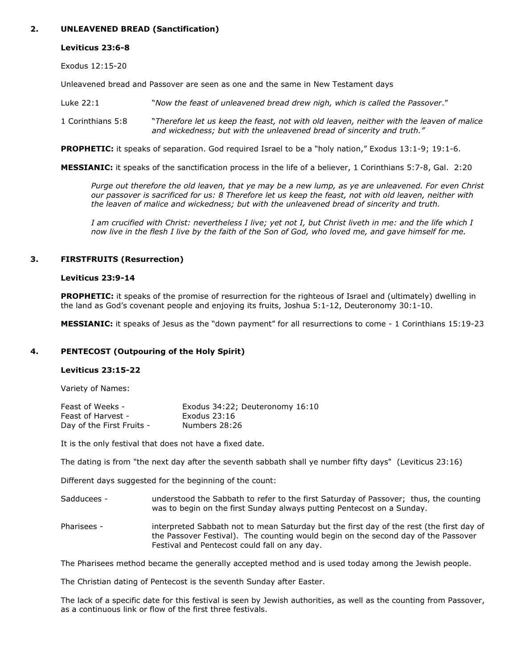## **2. UNLEAVENED BREAD (Sanctification)**

# **Leviticus 23:6-8**

Exodus 12:15-20

Unleavened bread and Passover are seen as one and the same in New Testament days

Luke 22:1 "*Now the feast of unleavened bread drew nigh, which is called the Passover*."

1 Corinthians 5:8 "*Therefore let us keep the feast, not with old leaven, neither with the leaven of malice and wickedness; but with the unleavened bread of sincerity and truth."*

**PROPHETIC:** it speaks of separation. God required Israel to be a "holy nation," Exodus 13:1-9; 19:1-6.

**MESSIANIC:** it speaks of the sanctification process in the life of a believer, 1 Corinthians 5:7-8, Gal. 2:20

*Purge out therefore the old leaven, that ye may be a new lump, as ye are unleavened. For even Christ our passover is sacrificed for us: 8 Therefore let us keep the feast, not with old leaven, neither with the leaven of malice and wickedness; but with the unleavened bread of sincerity and truth.*

*I am crucified with Christ: nevertheless I live; yet not I, but Christ liveth in me: and the life which I now live in the flesh I live by the faith of the Son of God, who loved me, and gave himself for me.*

# **3. FIRSTFRUITS (Resurrection)**

### **Leviticus 23:9-14**

**PROPHETIC:** it speaks of the promise of resurrection for the righteous of Israel and (ultimately) dwelling in the land as God's covenant people and enjoying its fruits, Joshua 5:1-12, Deuteronomy 30:1-10.

**MESSIANIC:** it speaks of Jesus as the "down payment" for all resurrections to come - 1 Corinthians 15:19-23

## **4. PENTECOST (Outpouring of the Holy Spirit)**

#### **Leviticus 23:15-22**

Variety of Names:

| Feast of Weeks -          | Exodus 34:22; Deuteronomy 16:10 |
|---------------------------|---------------------------------|
| Feast of Harvest -        | Exodus $23:16$                  |
| Day of the First Fruits - | Numbers 28:26                   |

It is the only festival that does not have a fixed date.

The dating is from "the next day after the seventh sabbath shall ye number fifty days" (Leviticus 23:16)

Different days suggested for the beginning of the count:

- Sadducees understood the Sabbath to refer to the first Saturday of Passover; thus, the counting was to begin on the first Sunday always putting Pentecost on a Sunday.
- Pharisees interpreted Sabbath not to mean Saturday but the first day of the rest (the first day of the Passover Festival). The counting would begin on the second day of the Passover Festival and Pentecost could fall on any day.

The Pharisees method became the generally accepted method and is used today among the Jewish people.

The Christian dating of Pentecost is the seventh Sunday after Easter.

The lack of a specific date for this festival is seen by Jewish authorities, as well as the counting from Passover, as a continuous link or flow of the first three festivals.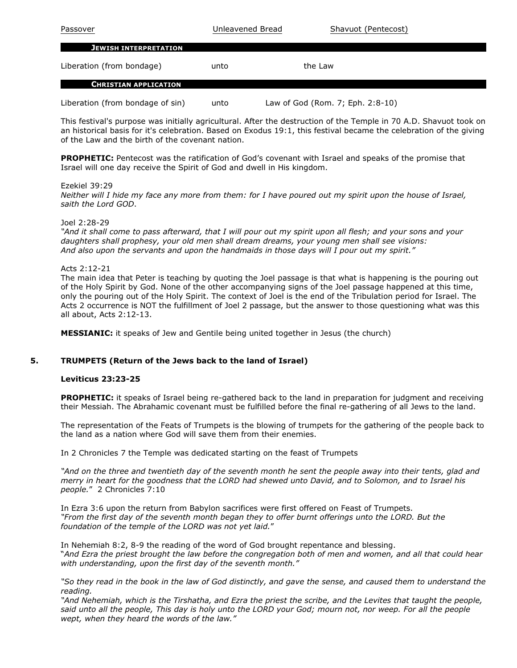| Passover                     | Unleavened Bread | Shavuot (Pentecost) |
|------------------------------|------------------|---------------------|
| <b>JEWISH INTERPRETATION</b> |                  |                     |
| Liberation (from bondage)    | unto             | the Law             |
| <b>CHRISTIAN APPLICATION</b> |                  |                     |

Liberation (from bondage of sin) unto Law of God (Rom. 7; Eph. 2:8-10)

This festival's purpose was initially agricultural. After the destruction of the Temple in 70 A.D. Shavuot took on an historical basis for it's celebration. Based on Exodus 19:1, this festival became the celebration of the giving of the Law and the birth of the covenant nation.

**PROPHETIC:** Pentecost was the ratification of God's covenant with Israel and speaks of the promise that Israel will one day receive the Spirit of God and dwell in His kingdom.

### Ezekiel 39:29

*Neither will I hide my face any more from them: for I have poured out my spirit upon the house of Israel, saith the Lord GOD*.

### Joel 2:28-29

*"And it shall come to pass afterward, that I will pour out my spirit upon all flesh; and your sons and your daughters shall prophesy, your old men shall dream dreams, your young men shall see visions: And also upon the servants and upon the handmaids in those days will I pour out my spirit."*

### Acts 2:12-21

The main idea that Peter is teaching by quoting the Joel passage is that what is happening is the pouring out of the Holy Spirit by God. None of the other accompanying signs of the Joel passage happened at this time, only the pouring out of the Holy Spirit. The context of Joel is the end of the Tribulation period for Israel. The Acts 2 occurrence is NOT the fulfillment of Joel 2 passage, but the answer to those questioning what was this all about, Acts 2:12-13.

**MESSIANIC:** it speaks of Jew and Gentile being united together in Jesus (the church)

## **5. TRUMPETS (Return of the Jews back to the land of Israel)**

#### **Leviticus 23:23-25**

**PROPHETIC:** it speaks of Israel being re-gathered back to the land in preparation for judgment and receiving their Messiah. The Abrahamic covenant must be fulfilled before the final re-gathering of all Jews to the land.

The representation of the Feats of Trumpets is the blowing of trumpets for the gathering of the people back to the land as a nation where God will save them from their enemies.

In 2 Chronicles 7 the Temple was dedicated starting on the feast of Trumpets

*"And on the three and twentieth day of the seventh month he sent the people away into their tents, glad and merry in heart for the goodness that the LORD had shewed unto David, and to Solomon, and to Israel his people.*" 2 Chronicles 7:10

In Ezra 3:6 upon the return from Babylon sacrifices were first offered on Feast of Trumpets. *"From the first day of the seventh month began they to offer burnt offerings unto the LORD. But the foundation of the temple of the LORD was not yet laid.*"

In Nehemiah 8:2, 8-9 the reading of the word of God brought repentance and blessing. "*And Ezra the priest brought the law before the congregation both of men and women, and all that could hear with understanding, upon the first day of the seventh month."*

*"So they read in the book in the law of God distinctly, and gave the sense, and caused them to understand the reading.*

*"And Nehemiah, which is the Tirshatha, and Ezra the priest the scribe, and the Levites that taught the people, said unto all the people, This day is holy unto the LORD your God; mourn not, nor weep. For all the people wept, when they heard the words of the law."*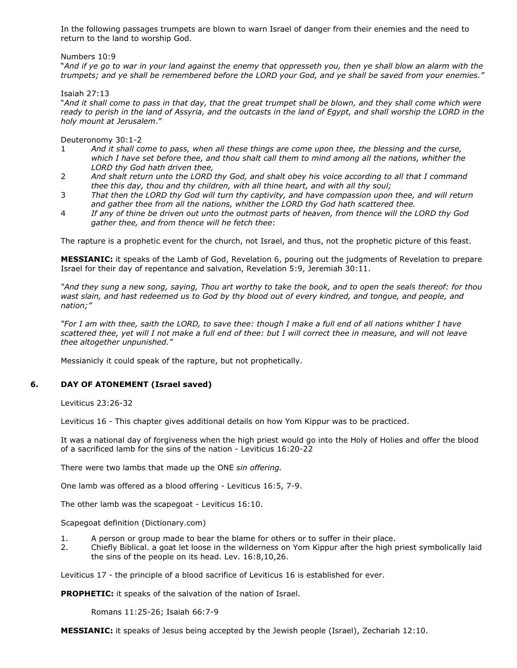In the following passages trumpets are blown to warn Israel of danger from their enemies and the need to return to the land to worship God.

### Numbers 10:9

"*And if ye go to war in your land against the enemy that oppresseth you, then ye shall blow an alarm with the trumpets; and ye shall be remembered before the LORD your God, and ye shall be saved from your enemies."*

Isaiah 27:13

"*And it shall come to pass in that day, that the great trumpet shall be blown, and they shall come which were ready to perish in the land of Assyria, and the outcasts in the land of Egypt, and shall worship the LORD in the holy mount at Jerusalem*."

Deuteronomy 30:1-2

- 1 *And it shall come to pass, when all these things are come upon thee, the blessing and the curse, which I have set before thee, and thou shalt call them to mind among all the nations, whither the LORD thy God hath driven thee,*
- 2 *And shalt return unto the LORD thy God, and shalt obey his voice according to all that I command thee this day, thou and thy children, with all thine heart, and with all thy soul;*
- 3 *That then the LORD thy God will turn thy captivity, and have compassion upon thee, and will return and gather thee from all the nations, whither the LORD thy God hath scattered thee.*
- 4 *If any of thine be driven out unto the outmost parts of heaven, from thence will the LORD thy God gather thee, and from thence will he fetch thee*:

The rapture is a prophetic event for the church, not Israel, and thus, not the prophetic picture of this feast.

**MESSIANIC:** it speaks of the Lamb of God, Revelation 6, pouring out the judgments of Revelation to prepare Israel for their day of repentance and salvation, Revelation 5:9, Jeremiah 30:11.

*"And they sung a new song, saying, Thou art worthy to take the book, and to open the seals thereof: for thou wast slain, and hast redeemed us to God by thy blood out of every kindred, and tongue, and people, and nation;"*

*"For I am with thee, saith the LORD, to save thee: though I make a full end of all nations whither I have scattered thee, yet will I not make a full end of thee: but I will correct thee in measure, and will not leave thee altogether unpunished."*

Messianicly it could speak of the rapture, but not prophetically.

## **6. DAY OF ATONEMENT (Israel saved)**

Leviticus 23:26-32

Leviticus 16 - This chapter gives additional details on how Yom Kippur was to be practiced.

It was a national day of forgiveness when the high priest would go into the Holy of Holies and offer the blood of a sacrificed lamb for the sins of the nation - Leviticus 16:20-22

There were two lambs that made up the ONE *sin offering.* 

One lamb was offered as a blood offering - Leviticus 16:5, 7-9.

The other lamb was the scapegoat - Leviticus 16:10.

Scapegoat definition (Dictionary.com)

- 1. A person or group made to bear the blame for others or to suffer in their place.
- 2. Chiefly Biblical. a goat let loose in the wilderness on Yom Kippur after the high priest symbolically laid the sins of the people on its head. Lev. 16:8,10,26.

Leviticus 17 - the principle of a blood sacrifice of Leviticus 16 is established for ever.

**PROPHETIC:** it speaks of the salvation of the nation of Israel.

Romans 11:25-26; Isaiah 66:7-9

**MESSIANIC:** it speaks of Jesus being accepted by the Jewish people (Israel), Zechariah 12:10.